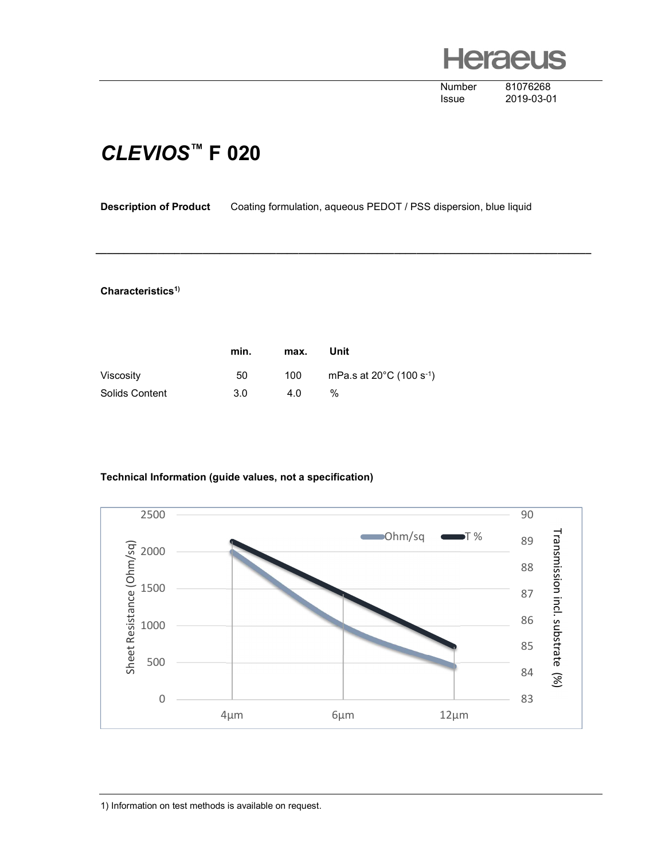**Heraeus** 

Number 81076268

Issue 2019-03-01

## CLEVIOS™ F 020

Description of Product Coating formulation, aqueous PEDOT / PSS dispersion, blue liquid

\_\_\_\_\_\_\_\_\_\_\_\_\_\_\_\_\_\_\_\_\_\_\_\_\_\_\_\_\_\_\_\_\_\_\_\_\_\_\_\_\_\_\_\_\_\_\_\_\_\_\_\_\_\_\_\_\_\_\_\_\_\_\_\_\_\_\_\_\_\_\_\_\_\_\_\_\_\_\_\_\_\_\_\_\_\_\_\_

## Characteristics<sup>1)</sup>

|                | min. | max. | Unit                                           |
|----------------|------|------|------------------------------------------------|
| Viscosity      | 50   | 100  | mPa.s at $20^{\circ}$ C (100 s <sup>-1</sup> ) |
| Solids Content | 3.0  | 4.0  | $\%$                                           |

## Technical Information (guide values, not a specification)



1) Information on test methods is available on request.